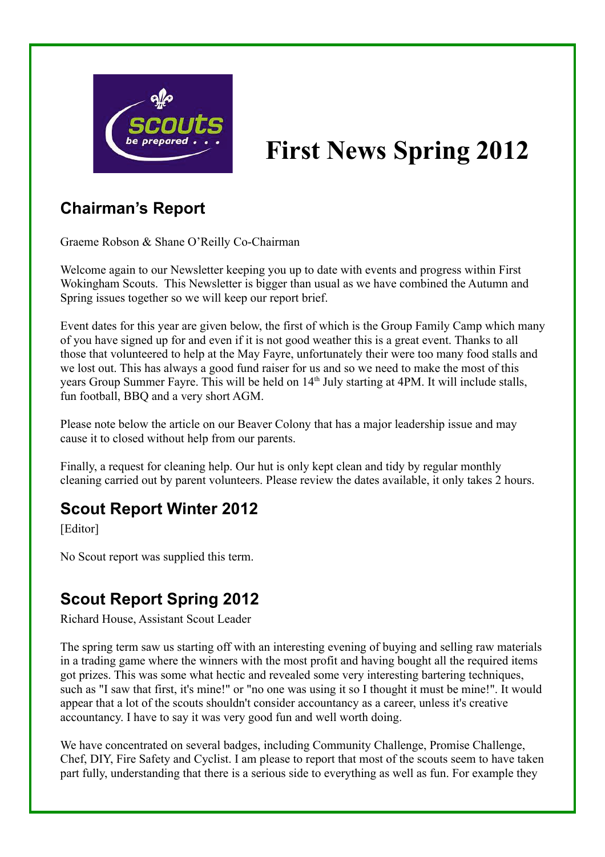

# **First News Spring 2012**

# **Chairman's Report**

Graeme Robson & Shane O'Reilly Co-Chairman

Welcome again to our Newsletter keeping you up to date with events and progress within First Wokingham Scouts. This Newsletter is bigger than usual as we have combined the Autumn and Spring issues together so we will keep our report brief.

Event dates for this year are given below, the first of which is the Group Family Camp which many of you have signed up for and even if it is not good weather this is a great event. Thanks to all those that volunteered to help at the May Fayre, unfortunately their were too many food stalls and we lost out. This has always a good fund raiser for us and so we need to make the most of this years Group Summer Fayre. This will be held on 14<sup>th</sup> July starting at 4PM. It will include stalls, fun football, BBQ and a very short AGM.

Please note below the article on our Beaver Colony that has a major leadership issue and may cause it to closed without help from our parents.

Finally, a request for cleaning help. Our hut is only kept clean and tidy by regular monthly cleaning carried out by parent volunteers. Please review the dates available, it only takes 2 hours.

#### **Scout Report Winter 2012**

[Editor]

No Scout report was supplied this term.

# **Scout Report Spring 2012**

Richard House, Assistant Scout Leader

The spring term saw us starting off with an interesting evening of buying and selling raw materials in a trading game where the winners with the most profit and having bought all the required items got prizes. This was some what hectic and revealed some very interesting bartering techniques, such as "I saw that first, it's mine!" or "no one was using it so I thought it must be mine!". It would appear that a lot of the scouts shouldn't consider accountancy as a career, unless it's creative accountancy. I have to say it was very good fun and well worth doing.

We have concentrated on several badges, including Community Challenge, Promise Challenge, Chef, DIY, Fire Safety and Cyclist. I am please to report that most of the scouts seem to have taken part fully, understanding that there is a serious side to everything as well as fun. For example they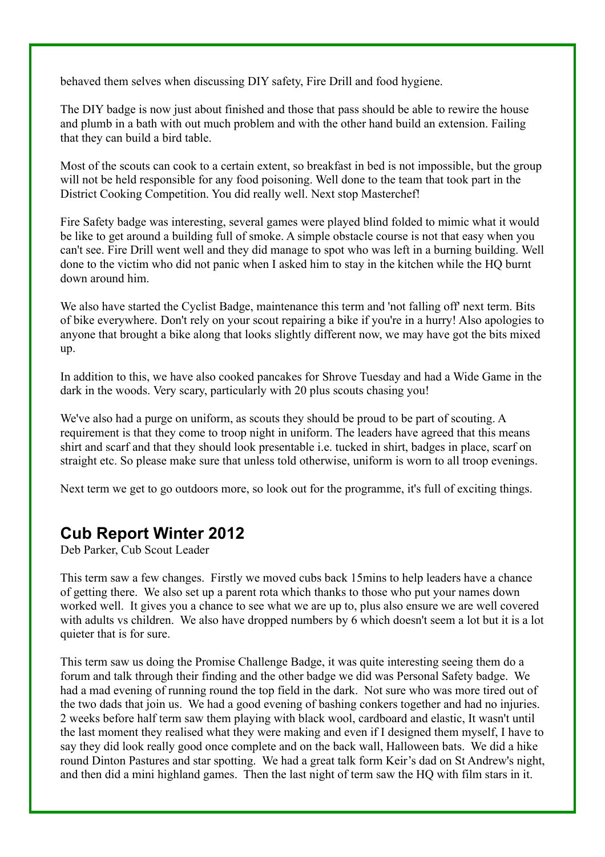behaved them selves when discussing DIY safety, Fire Drill and food hygiene.

The DIY badge is now just about finished and those that pass should be able to rewire the house and plumb in a bath with out much problem and with the other hand build an extension. Failing that they can build a bird table.

Most of the scouts can cook to a certain extent, so breakfast in bed is not impossible, but the group will not be held responsible for any food poisoning. Well done to the team that took part in the District Cooking Competition. You did really well. Next stop Masterchef!

Fire Safety badge was interesting, several games were played blind folded to mimic what it would be like to get around a building full of smoke. A simple obstacle course is not that easy when you can't see. Fire Drill went well and they did manage to spot who was left in a burning building. Well done to the victim who did not panic when I asked him to stay in the kitchen while the HQ burnt down around him.

We also have started the Cyclist Badge, maintenance this term and 'not falling off' next term. Bits of bike everywhere. Don't rely on your scout repairing a bike if you're in a hurry! Also apologies to anyone that brought a bike along that looks slightly different now, we may have got the bits mixed up.

In addition to this, we have also cooked pancakes for Shrove Tuesday and had a Wide Game in the dark in the woods. Very scary, particularly with 20 plus scouts chasing you!

We've also had a purge on uniform, as scouts they should be proud to be part of scouting. A requirement is that they come to troop night in uniform. The leaders have agreed that this means shirt and scarf and that they should look presentable i.e. tucked in shirt, badges in place, scarf on straight etc. So please make sure that unless told otherwise, uniform is worn to all troop evenings.

Next term we get to go outdoors more, so look out for the programme, it's full of exciting things.

#### **Cub Report Winter 2012**

Deb Parker, Cub Scout Leader

This term saw a few changes. Firstly we moved cubs back 15mins to help leaders have a chance of getting there. We also set up a parent rota which thanks to those who put your names down worked well. It gives you a chance to see what we are up to, plus also ensure we are well covered with adults vs children. We also have dropped numbers by 6 which doesn't seem a lot but it is a lot quieter that is for sure.

This term saw us doing the Promise Challenge Badge, it was quite interesting seeing them do a forum and talk through their finding and the other badge we did was Personal Safety badge. We had a mad evening of running round the top field in the dark. Not sure who was more tired out of the two dads that join us. We had a good evening of bashing conkers together and had no injuries. 2 weeks before half term saw them playing with black wool, cardboard and elastic, It wasn't until the last moment they realised what they were making and even if I designed them myself, I have to say they did look really good once complete and on the back wall, Halloween bats. We did a hike round Dinton Pastures and star spotting. We had a great talk form Keir's dad on St Andrew's night, and then did a mini highland games. Then the last night of term saw the HQ with film stars in it.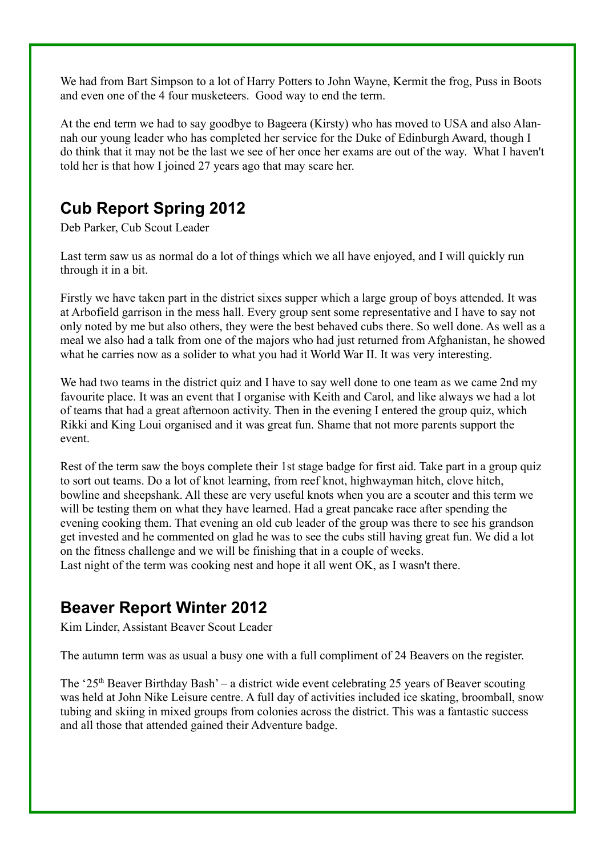We had from Bart Simpson to a lot of Harry Potters to John Wayne, Kermit the frog, Puss in Boots and even one of the 4 four musketeers. Good way to end the term.

At the end term we had to say goodbye to Bageera (Kirsty) who has moved to USA and also Alannah our young leader who has completed her service for the Duke of Edinburgh Award, though I do think that it may not be the last we see of her once her exams are out of the way. What I haven't told her is that how I joined 27 years ago that may scare her.

#### **Cub Report Spring 2012**

Deb Parker, Cub Scout Leader

Last term saw us as normal do a lot of things which we all have enjoyed, and I will quickly run through it in a bit.

Firstly we have taken part in the district sixes supper which a large group of boys attended. It was at Arbofield garrison in the mess hall. Every group sent some representative and I have to say not only noted by me but also others, they were the best behaved cubs there. So well done. As well as a meal we also had a talk from one of the majors who had just returned from Afghanistan, he showed what he carries now as a solider to what you had it World War II. It was very interesting.

We had two teams in the district quiz and I have to say well done to one team as we came 2nd my favourite place. It was an event that I organise with Keith and Carol, and like always we had a lot of teams that had a great afternoon activity. Then in the evening I entered the group quiz, which Rikki and King Loui organised and it was great fun. Shame that not more parents support the event.

Rest of the term saw the boys complete their 1st stage badge for first aid. Take part in a group quiz to sort out teams. Do a lot of knot learning, from reef knot, highwayman hitch, clove hitch, bowline and sheepshank. All these are very useful knots when you are a scouter and this term we will be testing them on what they have learned. Had a great pancake race after spending the evening cooking them. That evening an old cub leader of the group was there to see his grandson get invested and he commented on glad he was to see the cubs still having great fun. We did a lot on the fitness challenge and we will be finishing that in a couple of weeks. Last night of the term was cooking nest and hope it all went OK, as I wasn't there.

#### **Beaver Report Winter 2012**

Kim Linder, Assistant Beaver Scout Leader

The autumn term was as usual a busy one with a full compliment of 24 Beavers on the register.

The ' $25<sup>th</sup>$  Beaver Birthday Bash' – a district wide event celebrating 25 years of Beaver scouting was held at John Nike Leisure centre. A full day of activities included ice skating, broomball, snow tubing and skiing in mixed groups from colonies across the district. This was a fantastic success and all those that attended gained their Adventure badge.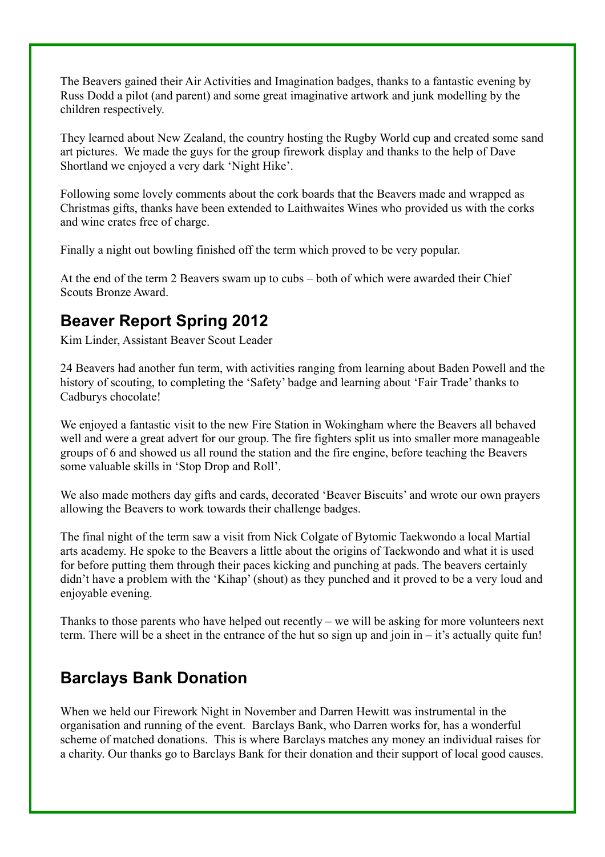The Beavers gained their Air Activities and Imagination badges, thanks to a fantastic evening by Russ Dodd a pilot (and parent) and some great imaginative artwork and junk modelling by the children respectively.

They learned about New Zealand, the country hosting the Rugby World cup and created some sand art pictures. We made the guys for the group firework display and thanks to the help of Dave Shortland we enjoyed a very dark 'Night Hike'.

Following some lovely comments about the cork boards that the Beavers made and wrapped as Christmas gifts, thanks have been extended to Laithwaites Wines who provided us with the corks and wine crates free of charge.

Finally a night out bowling finished off the term which proved to be very popular.

At the end of the term 2 Beavers swam up to cubs – both of which were awarded their Chief Scouts Bronze Award.

#### **Beaver Report Spring 2012**

Kim Linder, Assistant Beaver Scout Leader

24 Beavers had another fun term, with activities ranging from learning about Baden Powell and the history of scouting, to completing the 'Safety' badge and learning about 'Fair Trade' thanks to Cadburys chocolate!

We enjoyed a fantastic visit to the new Fire Station in Wokingham where the Beavers all behaved well and were a great advert for our group. The fire fighters split us into smaller more manageable groups of 6 and showed us all round the station and the fire engine, before teaching the Beavers some valuable skills in 'Stop Drop and Roll'.

We also made mothers day gifts and cards, decorated 'Beaver Biscuits' and wrote our own prayers allowing the Beavers to work towards their challenge badges.

The final night of the term saw a visit from Nick Colgate of Bytomic Taekwondo a local Martial arts academy. He spoke to the Beavers a little about the origins of Taekwondo and what it is used for before putting them through their paces kicking and punching at pads. The beavers certainly didn't have a problem with the 'Kihap' (shout) as they punched and it proved to be a very loud and enjoyable evening.

Thanks to those parents who have helped out recently – we will be asking for more volunteers next term. There will be a sheet in the entrance of the hut so sign up and join in – it's actually quite fun!

# **Barclays Bank Donation**

When we held our Firework Night in November and Darren Hewitt was instrumental in the organisation and running of the event. Barclays Bank, who Darren works for, has a wonderful scheme of matched donations. This is where Barclays matches any money an individual raises for a charity. Our thanks go to Barclays Bank for their donation and their support of local good causes.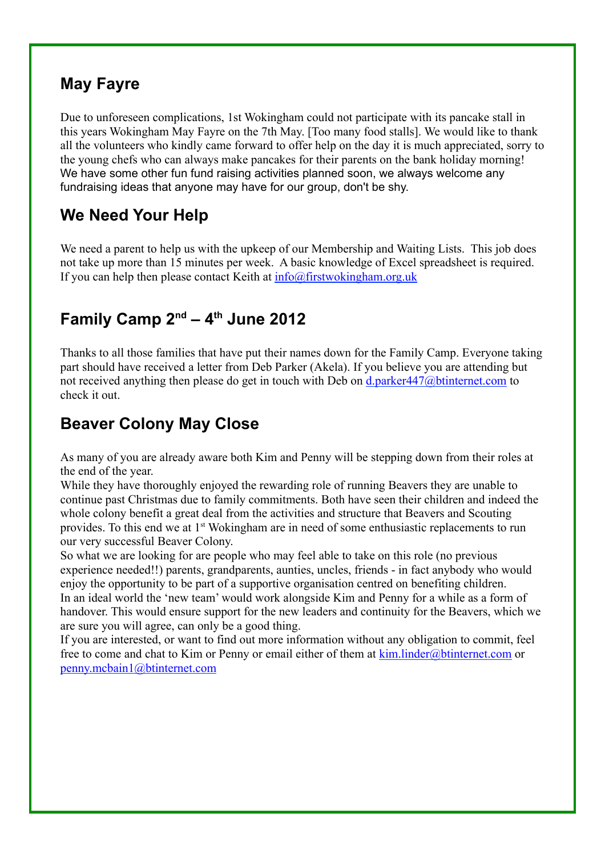# **May Fayre**

Due to unforeseen complications, 1st Wokingham could not participate with its pancake stall in this years Wokingham May Fayre on the 7th May. [Too many food stalls]. We would like to thank all the volunteers who kindly came forward to offer help on the day it is much appreciated, sorry to the young chefs who can always make pancakes for their parents on the bank holiday morning! We have some other fun fund raising activities planned soon, we always welcome any fundraising ideas that anyone may have for our group, don't be shy.

# **We Need Your Help**

We need a parent to help us with the upkeep of our Membership and Waiting Lists. This job does not take up more than 15 minutes per week. A basic knowledge of Excel spreadsheet is required. If you can help then please contact Keith at  $info@firstwokingham.org.uk$ 

## **Family Camp 2nd – 4th June 2012**

Thanks to all those families that have put their names down for the Family Camp. Everyone taking part should have received a letter from Deb Parker (Akela). If you believe you are attending but not received anything then please do get in touch with Deb on d.parker447@btinternet.com to check it out.

# **Beaver Colony May Close**

As many of you are already aware both Kim and Penny will be stepping down from their roles at the end of the year.

While they have thoroughly enjoyed the rewarding role of running Beavers they are unable to continue past Christmas due to family commitments. Both have seen their children and indeed the whole colony benefit a great deal from the activities and structure that Beavers and Scouting provides. To this end we at 1<sup>st</sup> Wokingham are in need of some enthusiastic replacements to run our very successful Beaver Colony.

So what we are looking for are people who may feel able to take on this role (no previous experience needed!!) parents, grandparents, aunties, uncles, friends - in fact anybody who would enjoy the opportunity to be part of a supportive organisation centred on benefiting children. In an ideal world the 'new team' would work alongside Kim and Penny for a while as a form of handover. This would ensure support for the new leaders and continuity for the Beavers, which we are sure you will agree, can only be a good thing.

If you are interested, or want to find out more information without any obligation to commit, feel free to come and chat to Kim or Penny or email either of them at  $\underline{\text{kim}}$ . linder@btinternet.com or penny.mcbain1@btinternet.com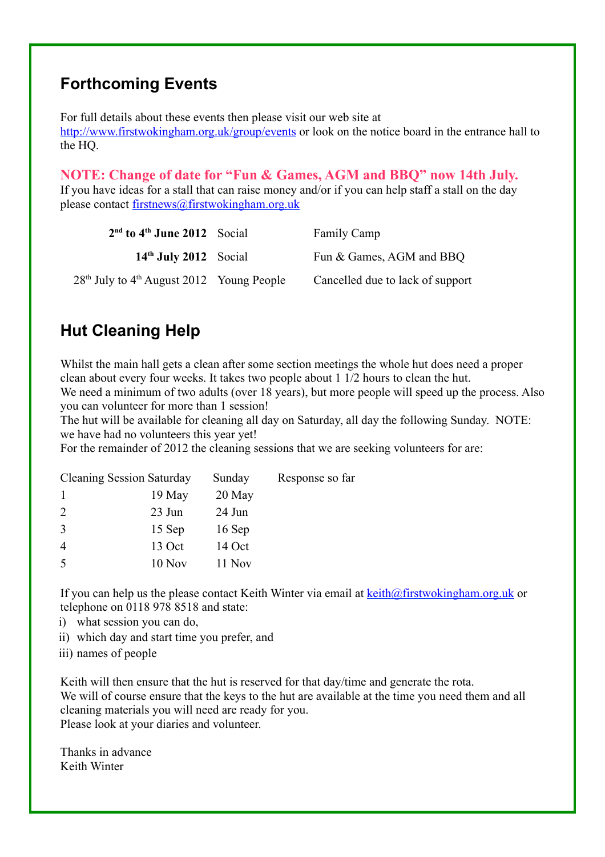#### **Forthcoming Events**

For full details about these events then please visit our web site at http://www.firstwokingham.org.uk/group/events or look on the notice board in the entrance hall to the HQ.

#### **NOTE: Change of date for "Fun & Games, AGM and BBQ" now 14th July.**

If you have ideas for a stall that can raise money and/or if you can help staff a stall on the day please contact firstnews@firstwokingham.org.uk

| $2nd$ to $4th$ June 2012 Social               | <b>Family Camp</b>               |
|-----------------------------------------------|----------------------------------|
| $14th$ July 2012 Social                       | Fun & Games, AGM and BBQ         |
| $28th$ July to $4th$ August 2012 Young People | Cancelled due to lack of support |

# **Hut Cleaning Help**

Whilst the main hall gets a clean after some section meetings the whole hut does need a proper clean about every four weeks. It takes two people about 1 1/2 hours to clean the hut. We need a minimum of two adults (over 18 years), but more people will speed up the process. Also

you can volunteer for more than 1 session!

The hut will be available for cleaning all day on Saturday, all day the following Sunday. NOTE: we have had no volunteers this year yet!

For the remainder of 2012 the cleaning sessions that we are seeking volunteers for are:

| <b>Cleaning Session Saturday</b> |        | Sunday | Response so far |
|----------------------------------|--------|--------|-----------------|
|                                  | 19 May | 20 May |                 |
| 2                                | 23 Jun | 24 Jun |                 |
| 3                                | 15 Sep | 16 Sep |                 |
|                                  | 13 Oct | 14 Oct |                 |
| 5                                | 10 Nov | 11 Nov |                 |
|                                  |        |        |                 |

If you can help us the please contact Keith Winter via email at  $k \in \mathbb{R}$  firstwokingham.org.uk or telephone on 0118 978 8518 and state:

- i) what session you can do,
- ii) which day and start time you prefer, and
- iii) names of people

Keith will then ensure that the hut is reserved for that day/time and generate the rota. We will of course ensure that the keys to the hut are available at the time you need them and all cleaning materials you will need are ready for you. Please look at your diaries and volunteer.

Thanks in advance Keith Winter